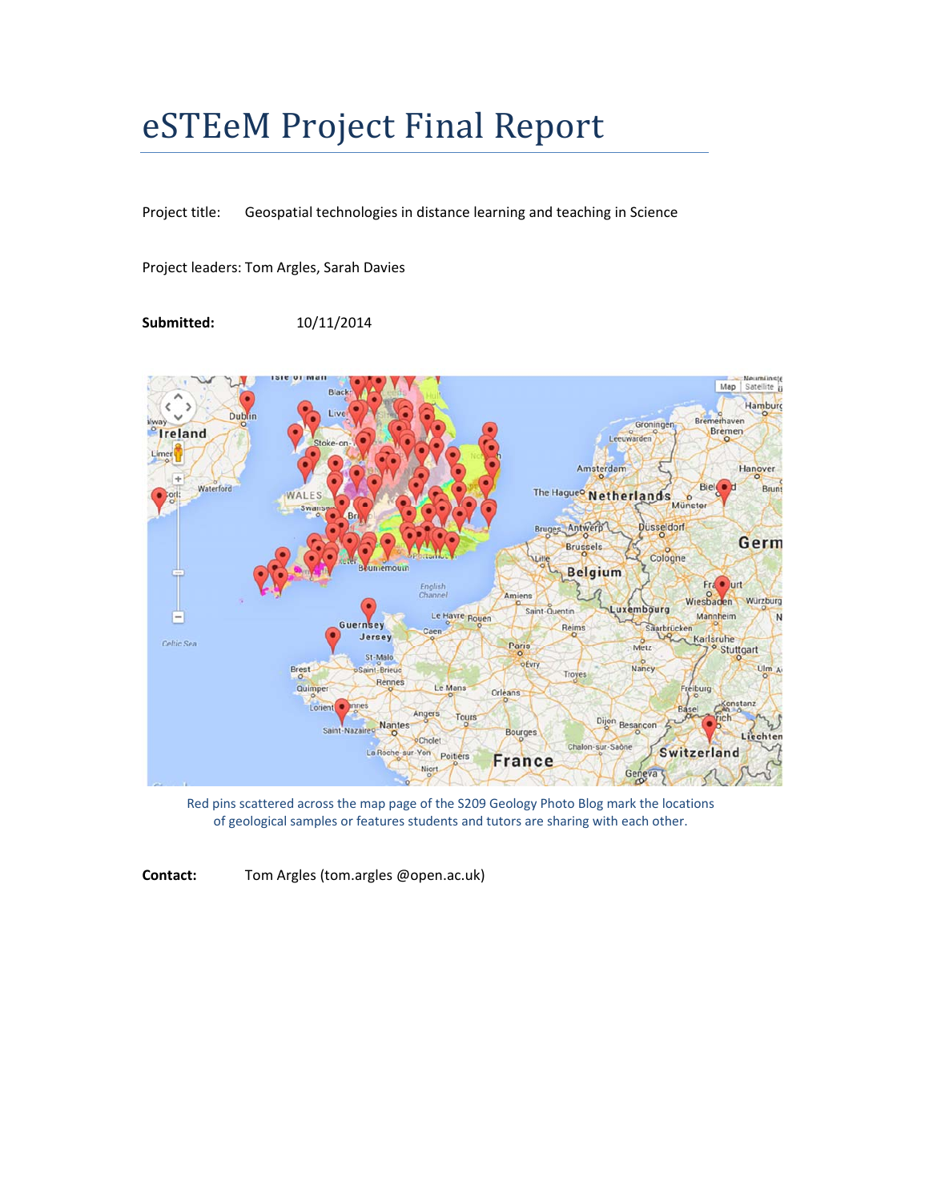# eSTEeM Project Final Report

Project title: Geospatial technologies in distance learning and teaching in Science

Project leaders: Tom Argles, Sarah Davies

**Submitted:** 10/11/2014



Red pins scattered across the map page of the S209 Geology Photo Blog mark the locations of geological samples or features students and tutors are sharing with each other.

**Contact:** Tom Argles (tom.argles @open.ac.uk)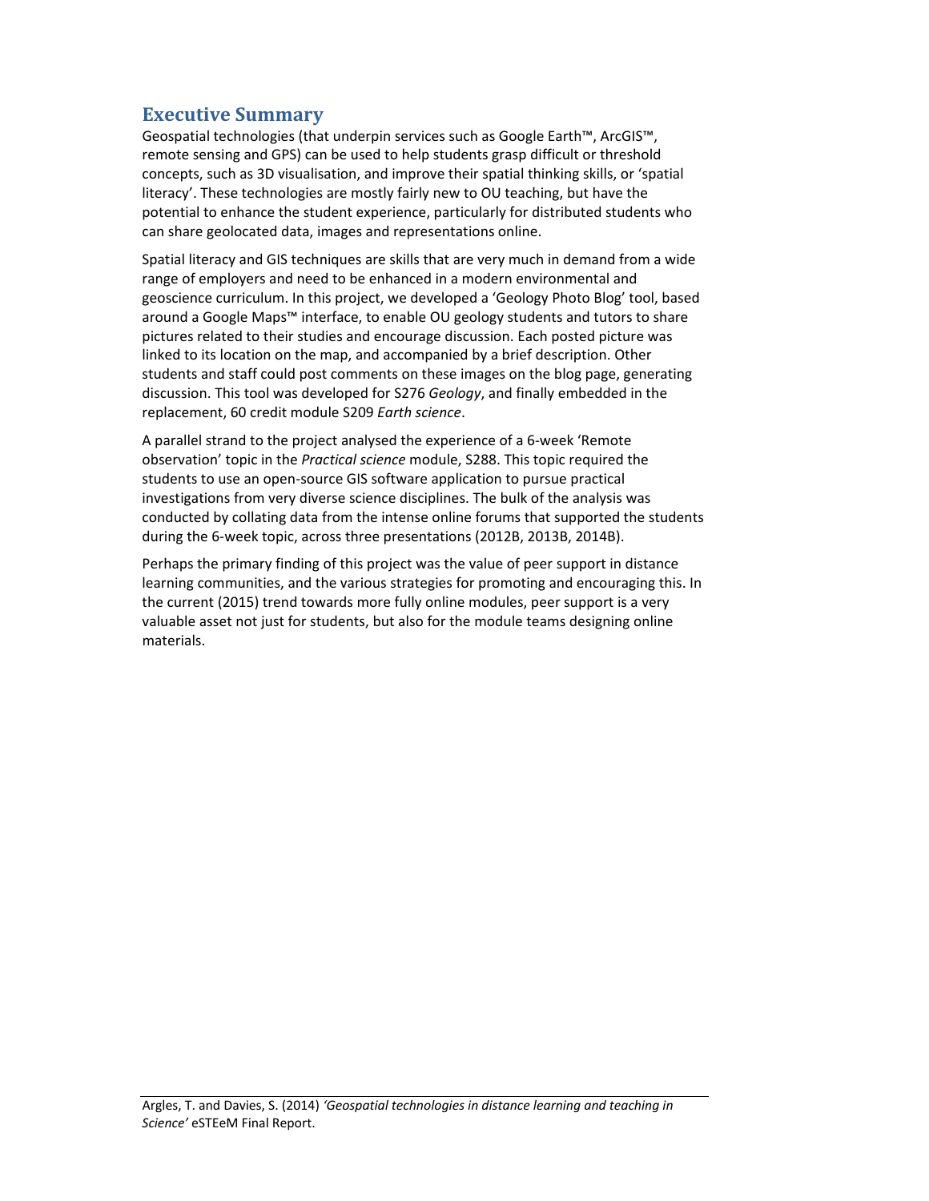## **Executive Summary**

Geospatial technologies (that underpin services such as Google Earth™, ArcGIS™, remote sensing and GPS) can be used to help students grasp difficult or threshold concepts, such as 3D visualisation, and improve their spatial thinking skills, or 'spatial literacy'. These technologies are mostly fairly new to OU teaching, but have the potential to enhance the student experience, particularly for distributed students who can share geolocated data, images and representations online.

Spatial literacy and GIS techniques are skills that are very much in demand from a wide range of employers and need to be enhanced in a modern environmental and geoscience curriculum. In this project, we developed a 'Geology Photo Blog' tool, based around a Google Maps™ interface, to enable OU geology students and tutors to share pictures related to their studies and encourage discussion. Each posted picture was linked to its location on the map, and accompanied by a brief description. Other students and staff could post comments on these images on the blog page, generating discussion. This tool was developed for S276 *Geology*, and finally embedded in the replacement, 60 credit module S209 *Earth science*.

A parallel strand to the project analysed the experience of a 6‐week 'Remote observation' topic in the *Practical science* module, S288. This topic required the students to use an open‐source GIS software application to pursue practical investigations from very diverse science disciplines. The bulk of the analysis was conducted by collating data from the intense online forums that supported the students during the 6‐week topic, across three presentations (2012B, 2013B, 2014B).

Perhaps the primary finding of this project was the value of peer support in distance learning communities, and the various strategies for promoting and encouraging this. In the current (2015) trend towards more fully online modules, peer support is a very valuable asset not just for students, but also for the module teams designing online materials.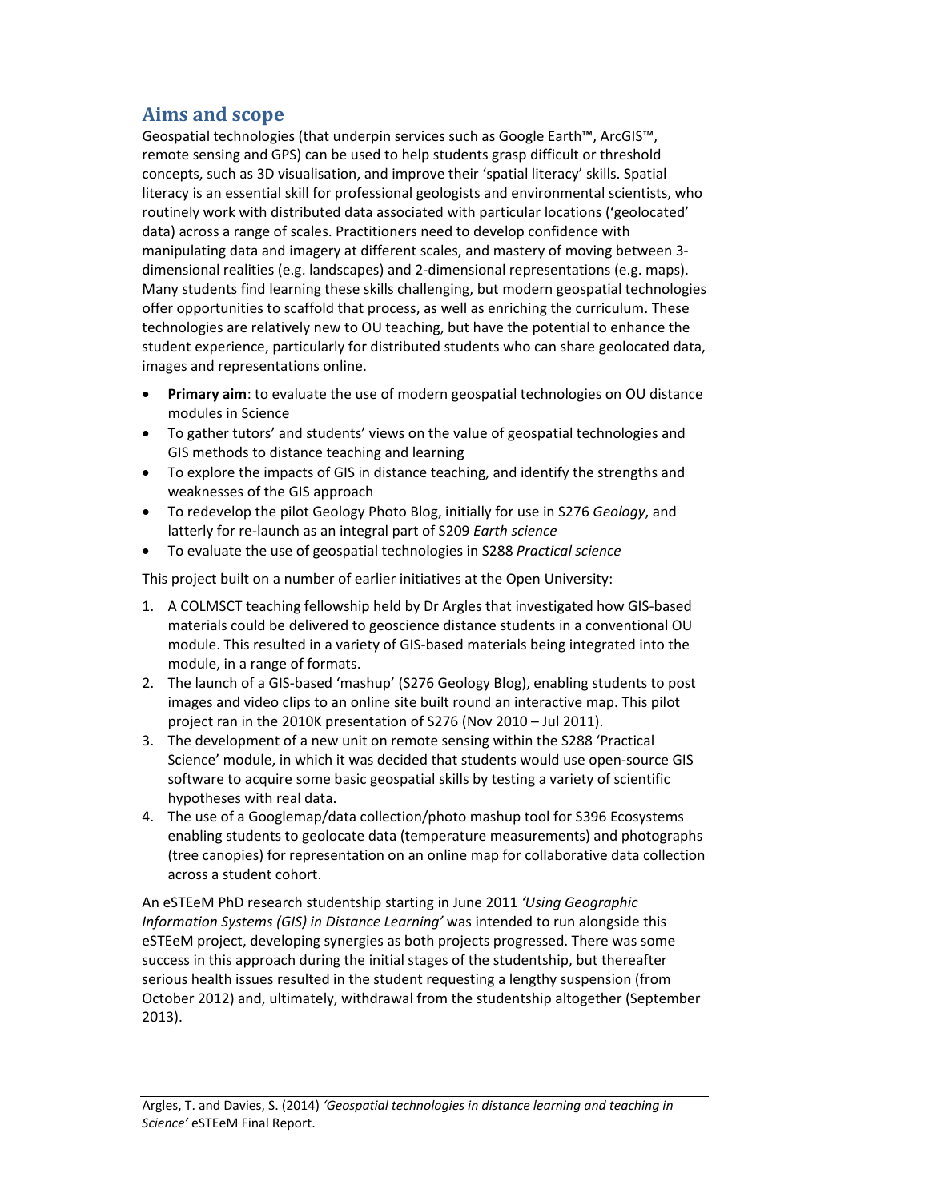# **Aims and scope**

Geospatial technologies (that underpin services such as Google Earth™, ArcGIS™, remote sensing and GPS) can be used to help students grasp difficult or threshold concepts, such as 3D visualisation, and improve their 'spatial literacy' skills. Spatial literacy is an essential skill for professional geologists and environmental scientists, who routinely work with distributed data associated with particular locations ('geolocated' data) across a range of scales. Practitioners need to develop confidence with manipulating data and imagery at different scales, and mastery of moving between 3‐ dimensional realities (e.g. landscapes) and 2‐dimensional representations (e.g. maps). Many students find learning these skills challenging, but modern geospatial technologies offer opportunities to scaffold that process, as well as enriching the curriculum. These technologies are relatively new to OU teaching, but have the potential to enhance the student experience, particularly for distributed students who can share geolocated data, images and representations online.

- **Primary aim**: to evaluate the use of modern geospatial technologies on OU distance modules in Science
- To gather tutors' and students' views on the value of geospatial technologies and GIS methods to distance teaching and learning
- To explore the impacts of GIS in distance teaching, and identify the strengths and weaknesses of the GIS approach
- To redevelop the pilot Geology Photo Blog, initially for use in S276 *Geology*, and latterly for re‐launch as an integral part of S209 *Earth science*
- To evaluate the use of geospatial technologies in S288 *Practical science*

This project built on a number of earlier initiatives at the Open University:

- 1. A COLMSCT teaching fellowship held by Dr Argles that investigated how GIS‐based materials could be delivered to geoscience distance students in a conventional OU module. This resulted in a variety of GIS‐based materials being integrated into the module, in a range of formats.
- 2. The launch of a GIS-based 'mashup' (S276 Geology Blog), enabling students to post images and video clips to an online site built round an interactive map. This pilot project ran in the 2010K presentation of S276 (Nov 2010 – Jul 2011).
- 3. The development of a new unit on remote sensing within the S288 'Practical Science' module, in which it was decided that students would use open‐source GIS software to acquire some basic geospatial skills by testing a variety of scientific hypotheses with real data.
- 4. The use of a Googlemap/data collection/photo mashup tool for S396 Ecosystems enabling students to geolocate data (temperature measurements) and photographs (tree canopies) for representation on an online map for collaborative data collection across a student cohort.

An eSTEeM PhD research studentship starting in June 2011 *'Using Geographic Information Systems (GIS) in Distance Learning'* was intended to run alongside this eSTEeM project, developing synergies as both projects progressed. There was some success in this approach during the initial stages of the studentship, but thereafter serious health issues resulted in the student requesting a lengthy suspension (from October 2012) and, ultimately, withdrawal from the studentship altogether (September 2013).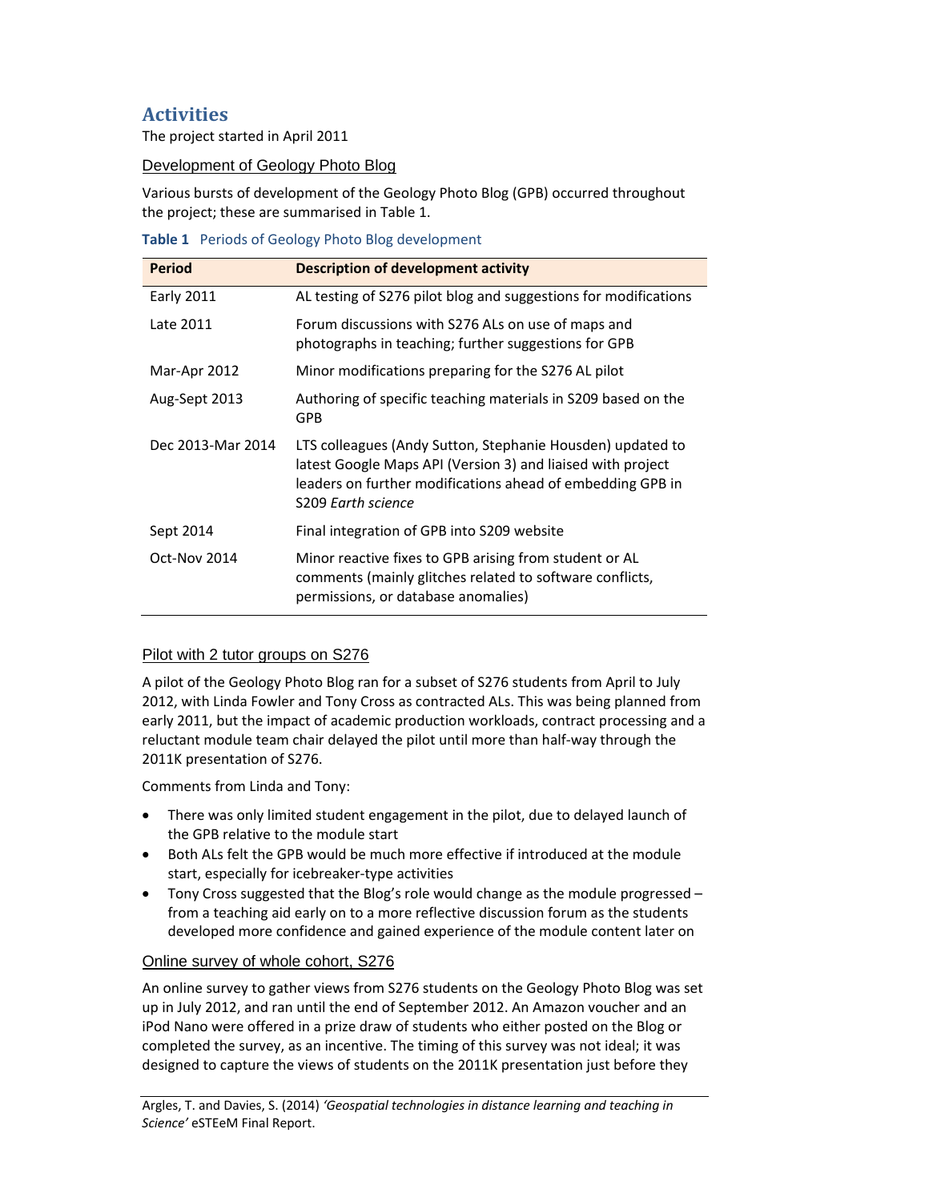# **Activities**

The project started in April 2011

#### Development of Geology Photo Blog

Various bursts of development of the Geology Photo Blog (GPB) occurred throughout the project; these are summarised in Table 1.

|  | Table 1 Periods of Geology Photo Blog development |  |  |  |  |  |
|--|---------------------------------------------------|--|--|--|--|--|
|--|---------------------------------------------------|--|--|--|--|--|

| <b>Period</b>     | <b>Description of development activity</b>                                                                                                                                                                    |
|-------------------|---------------------------------------------------------------------------------------------------------------------------------------------------------------------------------------------------------------|
| <b>Early 2011</b> | AL testing of S276 pilot blog and suggestions for modifications                                                                                                                                               |
| Late 2011         | Forum discussions with S276 ALs on use of maps and<br>photographs in teaching; further suggestions for GPB                                                                                                    |
| Mar-Apr 2012      | Minor modifications preparing for the S276 AL pilot                                                                                                                                                           |
| Aug-Sept 2013     | Authoring of specific teaching materials in S209 based on the<br><b>GPB</b>                                                                                                                                   |
| Dec 2013-Mar 2014 | LTS colleagues (Andy Sutton, Stephanie Housden) updated to<br>latest Google Maps API (Version 3) and liaised with project<br>leaders on further modifications ahead of embedding GPB in<br>S209 Earth science |
| Sept 2014         | Final integration of GPB into S209 website                                                                                                                                                                    |
| Oct-Nov 2014      | Minor reactive fixes to GPB arising from student or AL<br>comments (mainly glitches related to software conflicts,<br>permissions, or database anomalies)                                                     |

#### Pilot with 2 tutor groups on S276

A pilot of the Geology Photo Blog ran for a subset of S276 students from April to July 2012, with Linda Fowler and Tony Cross as contracted ALs. This was being planned from early 2011, but the impact of academic production workloads, contract processing and a reluctant module team chair delayed the pilot until more than half‐way through the 2011K presentation of S276.

Comments from Linda and Tony:

- There was only limited student engagement in the pilot, due to delayed launch of the GPB relative to the module start
- Both ALs felt the GPB would be much more effective if introduced at the module start, especially for icebreaker‐type activities
- Tony Cross suggested that the Blog's role would change as the module progressed from a teaching aid early on to a more reflective discussion forum as the students developed more confidence and gained experience of the module content later on

#### Online survey of whole cohort, S276

An online survey to gather views from S276 students on the Geology Photo Blog was set up in July 2012, and ran until the end of September 2012. An Amazon voucher and an iPod Nano were offered in a prize draw of students who either posted on the Blog or completed the survey, as an incentive. The timing of this survey was not ideal; it was designed to capture the views of students on the 2011K presentation just before they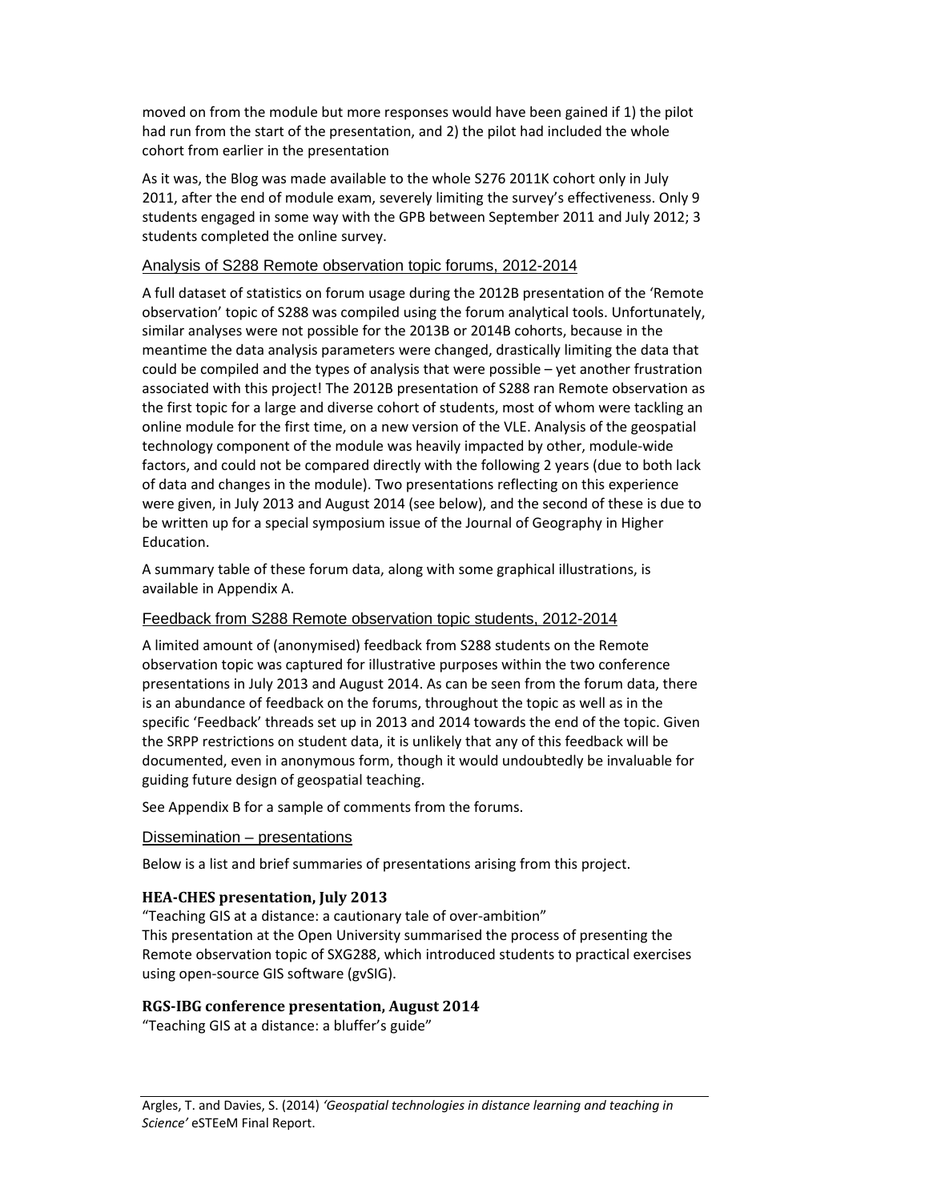moved on from the module but more responses would have been gained if 1) the pilot had run from the start of the presentation, and 2) the pilot had included the whole cohort from earlier in the presentation

As it was, the Blog was made available to the whole S276 2011K cohort only in July 2011, after the end of module exam, severely limiting the survey's effectiveness. Only 9 students engaged in some way with the GPB between September 2011 and July 2012; 3 students completed the online survey.

#### Analysis of S288 Remote observation topic forums, 2012-2014

A full dataset of statistics on forum usage during the 2012B presentation of the 'Remote observation' topic of S288 was compiled using the forum analytical tools. Unfortunately, similar analyses were not possible for the 2013B or 2014B cohorts, because in the meantime the data analysis parameters were changed, drastically limiting the data that could be compiled and the types of analysis that were possible – yet another frustration associated with this project! The 2012B presentation of S288 ran Remote observation as the first topic for a large and diverse cohort of students, most of whom were tackling an online module for the first time, on a new version of the VLE. Analysis of the geospatial technology component of the module was heavily impacted by other, module‐wide factors, and could not be compared directly with the following 2 years (due to both lack of data and changes in the module). Two presentations reflecting on this experience were given, in July 2013 and August 2014 (see below), and the second of these is due to be written up for a special symposium issue of the Journal of Geography in Higher Education.

A summary table of these forum data, along with some graphical illustrations, is available in Appendix A.

#### Feedback from S288 Remote observation topic students, 2012-2014

A limited amount of (anonymised) feedback from S288 students on the Remote observation topic was captured for illustrative purposes within the two conference presentations in July 2013 and August 2014. As can be seen from the forum data, there is an abundance of feedback on the forums, throughout the topic as well as in the specific 'Feedback' threads set up in 2013 and 2014 towards the end of the topic. Given the SRPP restrictions on student data, it is unlikely that any of this feedback will be documented, even in anonymous form, though it would undoubtedly be invaluable for guiding future design of geospatial teaching.

See Appendix B for a sample of comments from the forums.

#### Dissemination – presentations

Below is a list and brief summaries of presentations arising from this project.

#### **HEA‐CHES presentation, July 2013**

"Teaching GIS at a distance: a cautionary tale of over‐ambition" This presentation at the Open University summarised the process of presenting the Remote observation topic of SXG288, which introduced students to practical exercises using open‐source GIS software (gvSIG).

#### **RGS‐IBG conference presentation, August 2014**

"Teaching GIS at a distance: a bluffer's guide"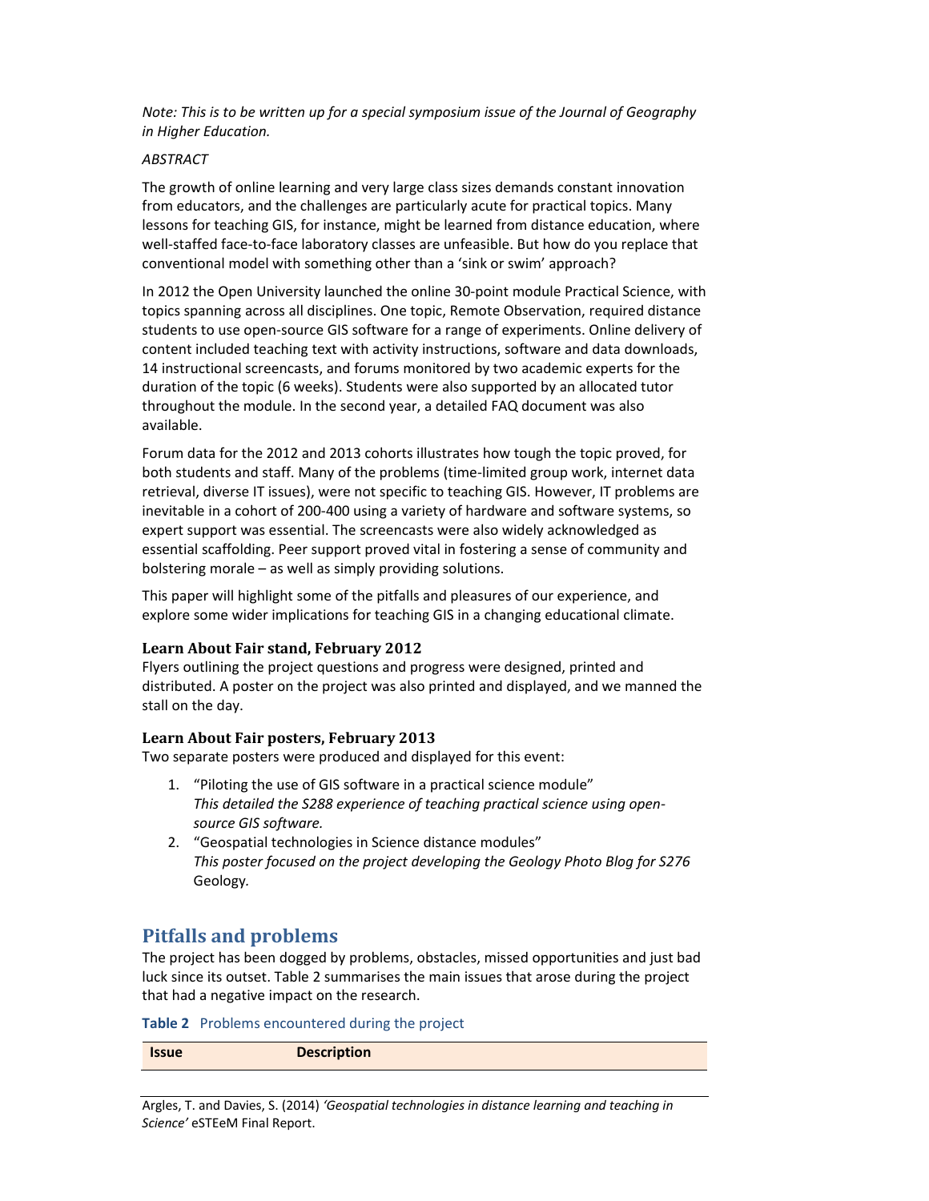*Note: This is to be written up for a special symposium issue of the Journal of Geography in Higher Education.*

#### *ABSTRACT*

The growth of online learning and very large class sizes demands constant innovation from educators, and the challenges are particularly acute for practical topics. Many lessons for teaching GIS, for instance, might be learned from distance education, where well‐staffed face‐to‐face laboratory classes are unfeasible. But how do you replace that conventional model with something other than a 'sink or swim' approach?

In 2012 the Open University launched the online 30‐point module Practical Science, with topics spanning across all disciplines. One topic, Remote Observation, required distance students to use open‐source GIS software for a range of experiments. Online delivery of content included teaching text with activity instructions, software and data downloads, 14 instructional screencasts, and forums monitored by two academic experts for the duration of the topic (6 weeks). Students were also supported by an allocated tutor throughout the module. In the second year, a detailed FAQ document was also available.

Forum data for the 2012 and 2013 cohorts illustrates how tough the topic proved, for both students and staff. Many of the problems (time‐limited group work, internet data retrieval, diverse IT issues), were not specific to teaching GIS. However, IT problems are inevitable in a cohort of 200‐400 using a variety of hardware and software systems, so expert support was essential. The screencasts were also widely acknowledged as essential scaffolding. Peer support proved vital in fostering a sense of community and bolstering morale – as well as simply providing solutions.

This paper will highlight some of the pitfalls and pleasures of our experience, and explore some wider implications for teaching GIS in a changing educational climate.

#### **Learn About Fair stand, February 2012**

Flyers outlining the project questions and progress were designed, printed and distributed. A poster on the project was also printed and displayed, and we manned the stall on the day.

#### **Learn About Fair posters, February 2013**

Two separate posters were produced and displayed for this event:

- 1. "Piloting the use of GIS software in a practical science module" *This detailed the S288 experience of teaching practical science using open‐ source GIS software.*
- 2. "Geospatial technologies in Science distance modules" *This poster focused on the project developing the Geology Photo Blog for S276* Geology*.*

## **Pitfalls and problems**

The project has been dogged by problems, obstacles, missed opportunities and just bad luck since its outset. Table 2 summarises the main issues that arose during the project that had a negative impact on the research.

**Table 2** Problems encountered during the project

| <b>Description</b><br><b>Issue</b> |
|------------------------------------|
|------------------------------------|

Argles, T. and Davies, S. (2014) *'Geospatial technologies in distance learning and teaching in Science'* eSTEeM Final Report.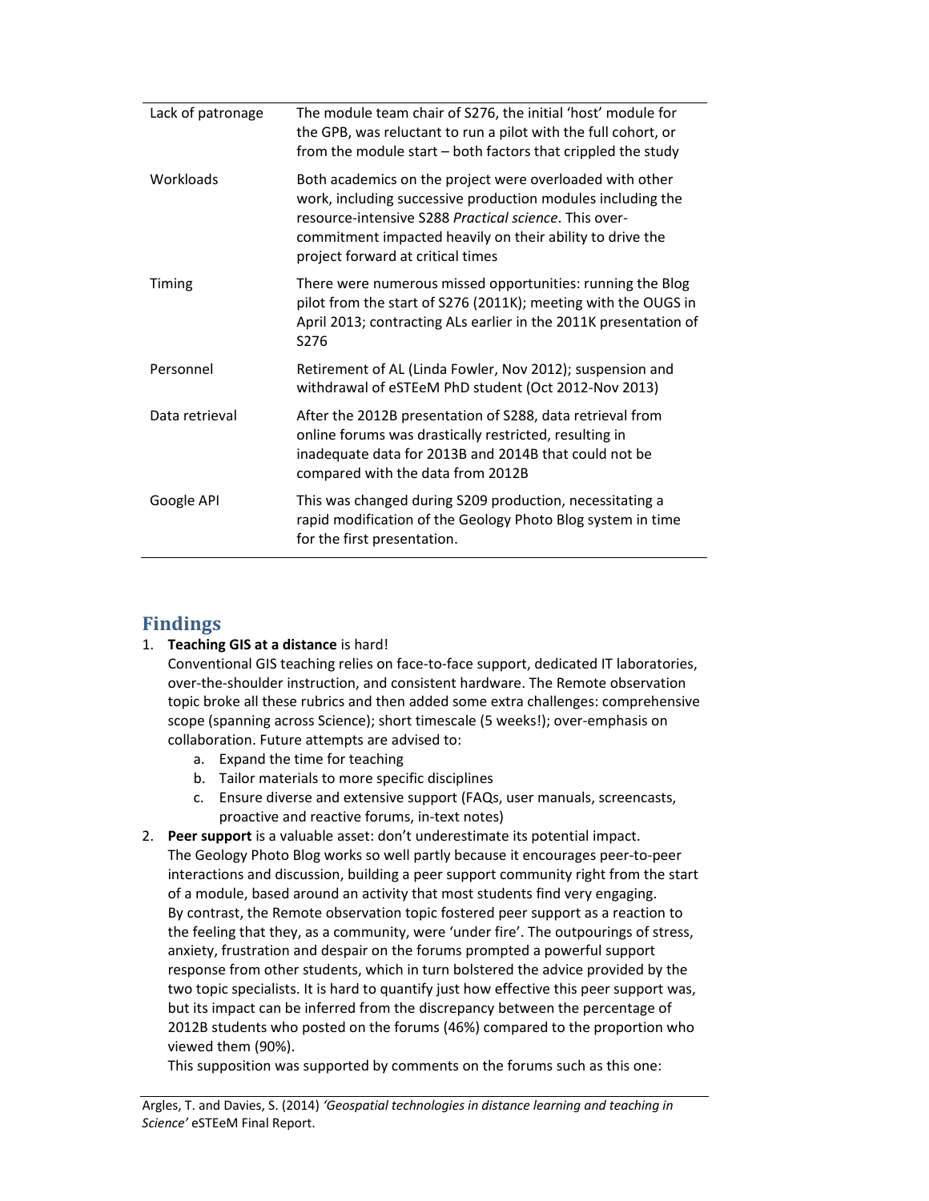| Lack of patronage | The module team chair of S276, the initial 'host' module for<br>the GPB, was reluctant to run a pilot with the full cohort, or<br>from the module start – both factors that crippled the study                                                                                     |
|-------------------|------------------------------------------------------------------------------------------------------------------------------------------------------------------------------------------------------------------------------------------------------------------------------------|
| Workloads         | Both academics on the project were overloaded with other<br>work, including successive production modules including the<br>resource-intensive S288 Practical science. This over-<br>commitment impacted heavily on their ability to drive the<br>project forward at critical times |
| Timing            | There were numerous missed opportunities: running the Blog<br>pilot from the start of S276 (2011K); meeting with the OUGS in<br>April 2013; contracting ALs earlier in the 2011K presentation of<br>S <sub>276</sub>                                                               |
| Personnel         | Retirement of AL (Linda Fowler, Nov 2012); suspension and<br>withdrawal of eSTEeM PhD student (Oct 2012-Nov 2013)                                                                                                                                                                  |
| Data retrieval    | After the 2012B presentation of S288, data retrieval from<br>online forums was drastically restricted, resulting in<br>inadequate data for 2013B and 2014B that could not be<br>compared with the data from 2012B                                                                  |
| Google API        | This was changed during S209 production, necessitating a<br>rapid modification of the Geology Photo Blog system in time<br>for the first presentation.                                                                                                                             |
|                   |                                                                                                                                                                                                                                                                                    |

# **Findings**

#### 1. **Teaching GIS at a distance** is hard!

Conventional GIS teaching relies on face‐to‐face support, dedicated IT laboratories, over-the-shoulder instruction, and consistent hardware. The Remote observation topic broke all these rubrics and then added some extra challenges: comprehensive scope (spanning across Science); short timescale (5 weeks!); over‐emphasis on collaboration. Future attempts are advised to:

- a. Expand the time for teaching
- b. Tailor materials to more specific disciplines
- c. Ensure diverse and extensive support (FAQs, user manuals, screencasts, proactive and reactive forums, in‐text notes)
- 2. **Peer support** is a valuable asset: don't underestimate its potential impact. The Geology Photo Blog works so well partly because it encourages peer‐to‐peer interactions and discussion, building a peer support community right from the start of a module, based around an activity that most students find very engaging. By contrast, the Remote observation topic fostered peer support as a reaction to the feeling that they, as a community, were 'under fire'. The outpourings of stress, anxiety, frustration and despair on the forums prompted a powerful support response from other students, which in turn bolstered the advice provided by the two topic specialists. It is hard to quantify just how effective this peer support was, but its impact can be inferred from the discrepancy between the percentage of 2012B students who posted on the forums (46%) compared to the proportion who viewed them (90%).

This supposition was supported by comments on the forums such as this one: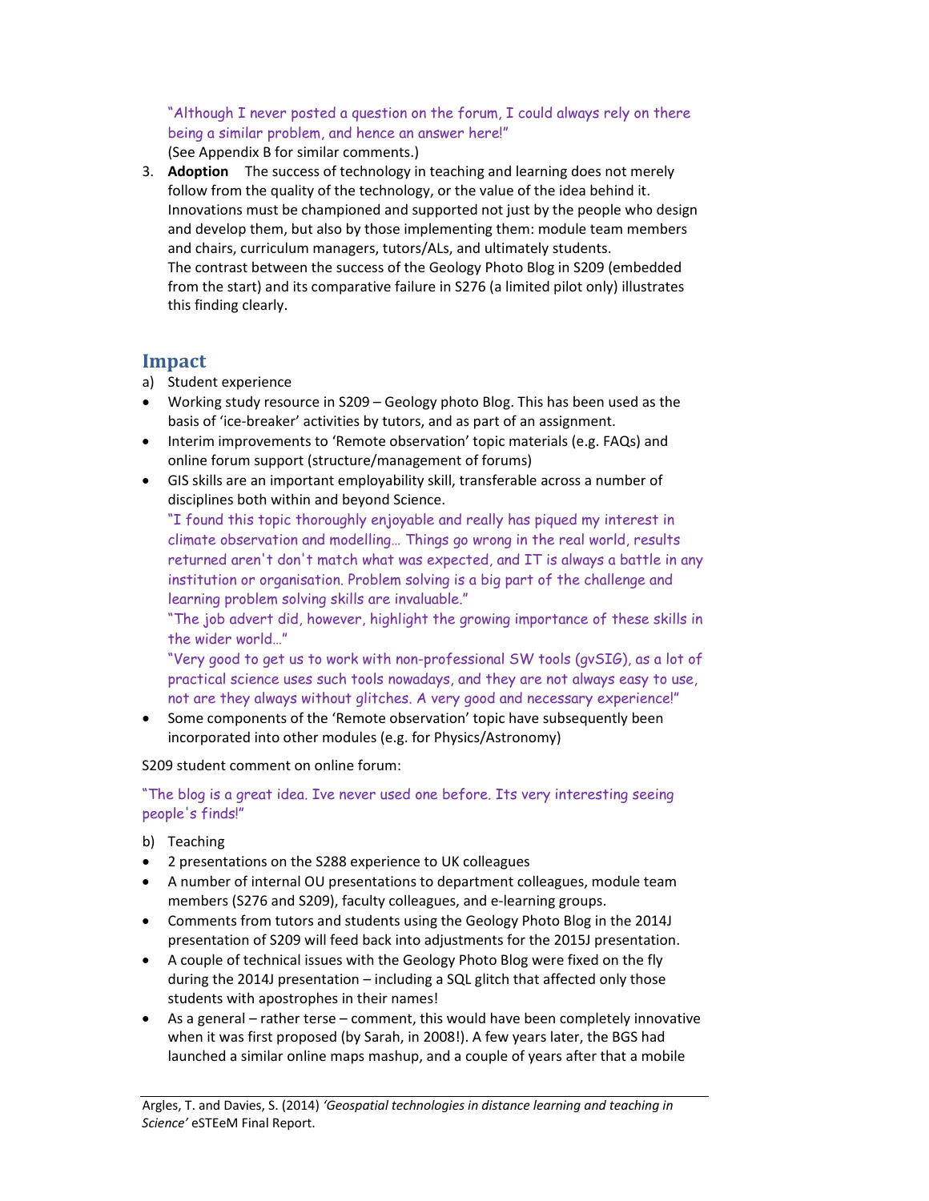"Although I never posted a question on the forum, I could always rely on there being a similar problem, and hence an answer here!" (See Appendix B for similar comments.)

3. **Adoption** The success of technology in teaching and learning does not merely follow from the quality of the technology, or the value of the idea behind it. Innovations must be championed and supported not just by the people who design and develop them, but also by those implementing them: module team members and chairs, curriculum managers, tutors/ALs, and ultimately students. The contrast between the success of the Geology Photo Blog in S209 (embedded from the start) and its comparative failure in S276 (a limited pilot only) illustrates this finding clearly.

## **Impact**

- a) Student experience
- Working study resource in S209 Geology photo Blog. This has been used as the basis of 'ice‐breaker' activities by tutors, and as part of an assignment.
- Interim improvements to 'Remote observation' topic materials (e.g. FAQs) and online forum support (structure/management of forums)
- GIS skills are an important employability skill, transferable across a number of disciplines both within and beyond Science.

"I found this topic thoroughly enjoyable and really has piqued my interest in climate observation and modelling… Things go wrong in the real world, results returned aren't don't match what was expected, and IT is always a battle in any institution or organisation. Problem solving is a big part of the challenge and learning problem solving skills are invaluable."

"The job advert did, however, highlight the growing importance of these skills in the wider world…"

"Very good to get us to work with non-professional SW tools (gvSIG), as a lot of practical science uses such tools nowadays, and they are not always easy to use, not are they always without glitches. A very good and necessary experience!"

 Some components of the 'Remote observation' topic have subsequently been incorporated into other modules (e.g. for Physics/Astronomy)

S209 student comment on online forum:

"The blog is a great idea. Ive never used one before. Its very interesting seeing people's finds!"

- b) Teaching
- 2 presentations on the S288 experience to UK colleagues
- A number of internal OU presentations to department colleagues, module team members (S276 and S209), faculty colleagues, and e‐learning groups.
- Comments from tutors and students using the Geology Photo Blog in the 2014J presentation of S209 will feed back into adjustments for the 2015J presentation.
- A couple of technical issues with the Geology Photo Blog were fixed on the fly during the 2014J presentation – including a SQL glitch that affected only those students with apostrophes in their names!
- As a general rather terse comment, this would have been completely innovative when it was first proposed (by Sarah, in 2008!). A few years later, the BGS had launched a similar online maps mashup, and a couple of years after that a mobile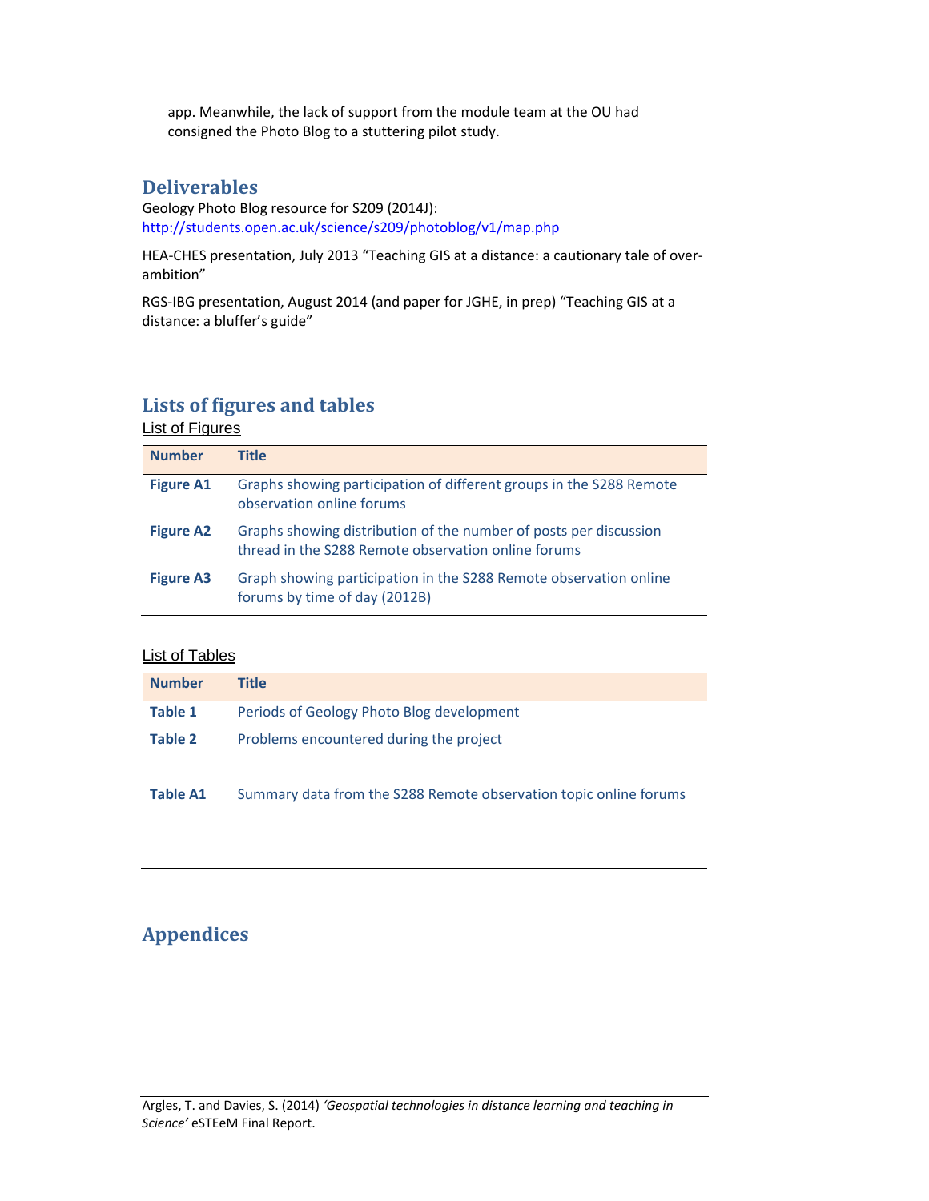app. Meanwhile, the lack of support from the module team at the OU had consigned the Photo Blog to a stuttering pilot study.

## **Deliverables**

Geology Photo Blog resource for S209 (2014J): http://students.open.ac.uk/science/s209/photoblog/v1/map.php

HEA‐CHES presentation, July 2013 "Teaching GIS at a distance: a cautionary tale of over‐ ambition"

RGS‐IBG presentation, August 2014 (and paper for JGHE, in prep) "Teaching GIS at a distance: a bluffer's guide"

# **Lists of figures and tables**

## List of Figures

| <b>Number</b>    | Title                                                                                                                    |
|------------------|--------------------------------------------------------------------------------------------------------------------------|
| <b>Figure A1</b> | Graphs showing participation of different groups in the S288 Remote<br>observation online forums                         |
| <b>Figure A2</b> | Graphs showing distribution of the number of posts per discussion<br>thread in the S288 Remote observation online forums |
| <b>Figure A3</b> | Graph showing participation in the S288 Remote observation online<br>forums by time of day (2012B)                       |

#### List of Tables

| <b>Number</b> | Title                                     |
|---------------|-------------------------------------------|
| Table 1       | Periods of Geology Photo Blog development |
| Table 2       | Problems encountered during the project   |

**Table A1** Summary data from the S288 Remote observation topic online forums

# **Appendices**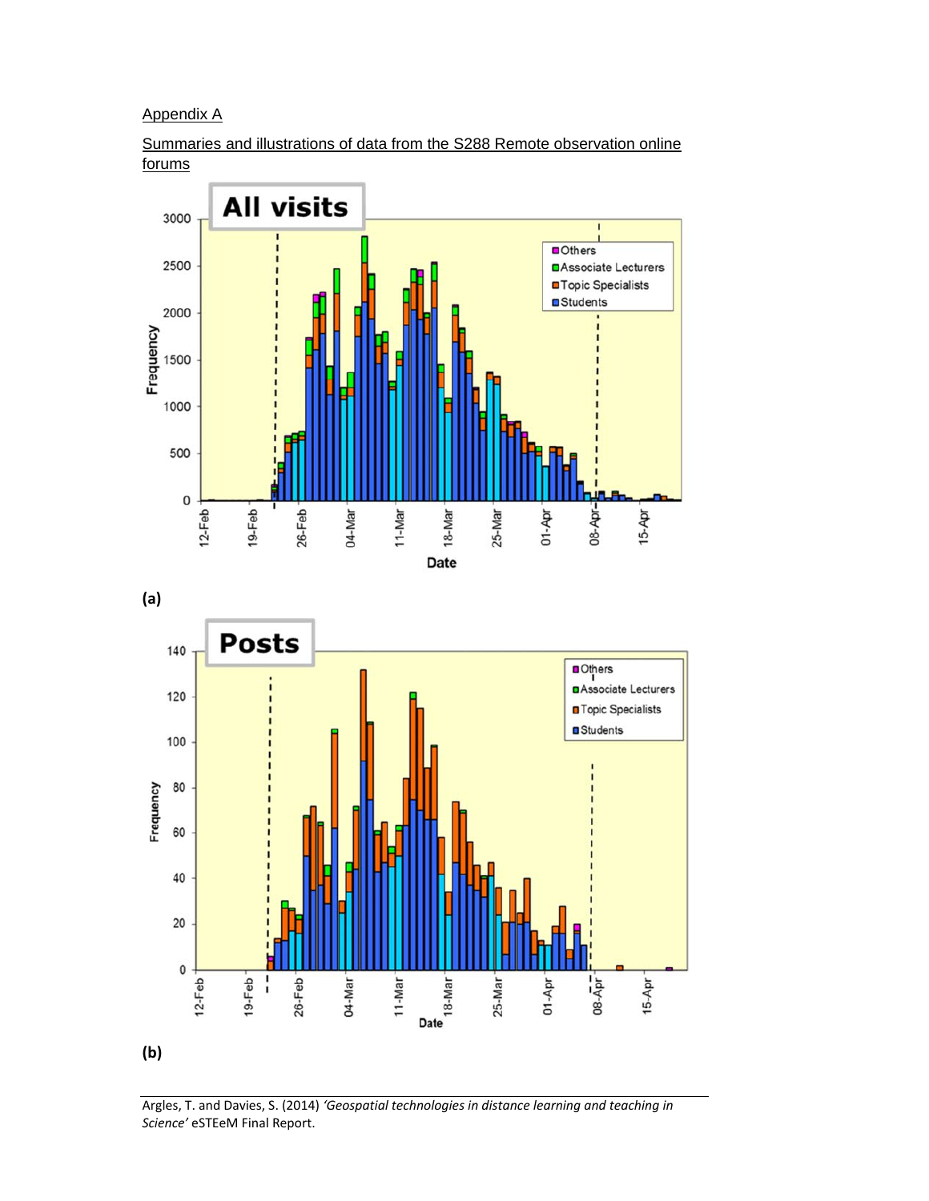Appendix A

Summaries and illustrations of data from the S288 Remote observation online forums





Argles, T. and Davies, S. (2014) *'Geospatial technologies in distance learning and teaching in Science'* eSTEeM Final Report.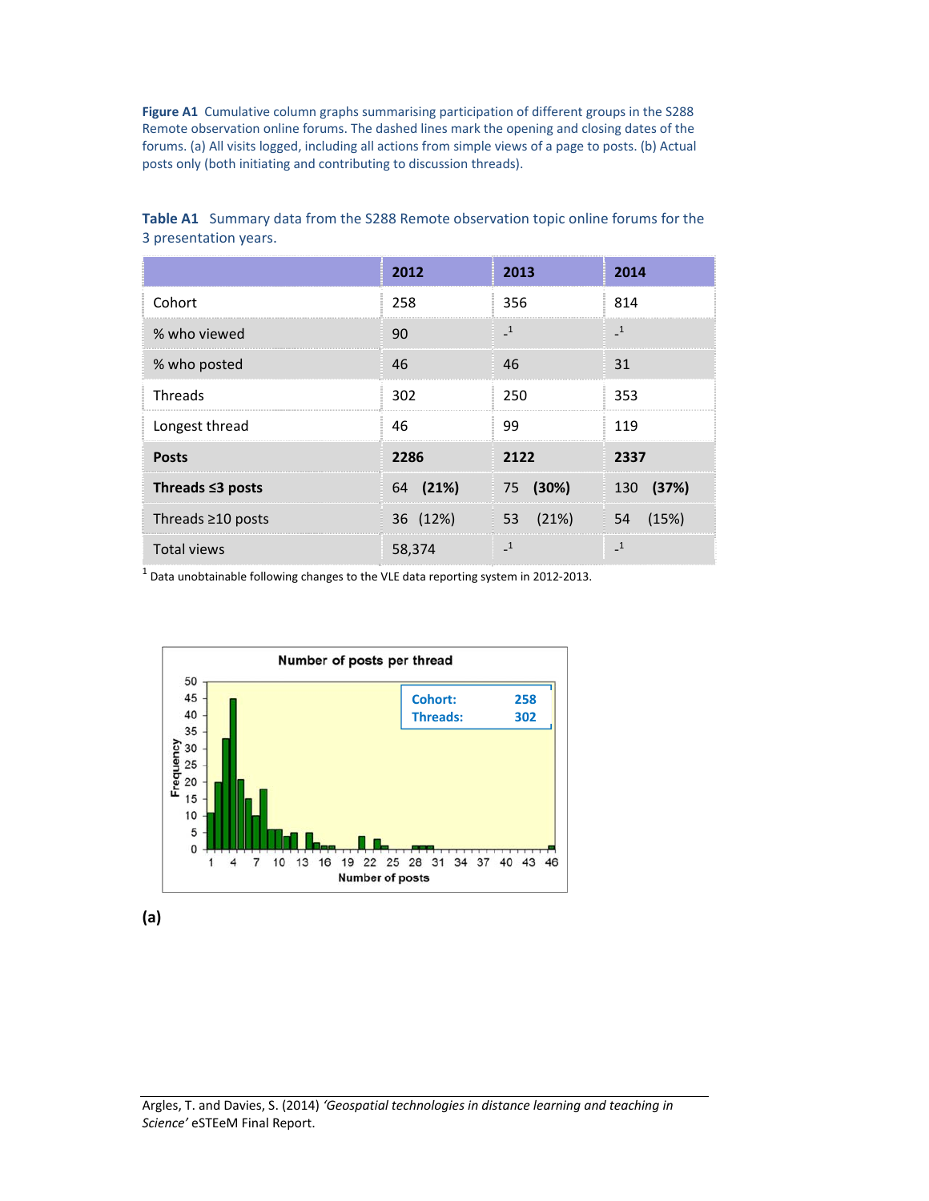Figure A1 Cumulative column graphs summarising participation of different groups in the S288 Remote observation online forums. The dashed lines mark the opening and closing dates of the forums. (a) All visits logged, including all actions from simple views of a page to posts. (b) Actual posts only (both initiating and contributing to discussion threads).

|                         | 2012     | 2013          | 2014          |
|-------------------------|----------|---------------|---------------|
| Cohort                  | 258      | 356           | 814           |
| % who viewed            | 90       | $\mathbf{-1}$ | $\mathbf{-1}$ |
| % who posted            | 46       | 46            | 31            |
| Threads                 | 302      | 250           | 353           |
| Longest thread          | 46       | 99            | 119           |
| <b>Posts</b>            | 2286     | 2122          | 2337          |
| Threads $\leq$ 3 posts  | 64 (21%) | (30%)<br>75   | (37%)<br>130  |
| Threads $\geq$ 10 posts | 36 (12%) | (21%)<br>53   | (15%)<br>54   |
| <b>Total views</b>      | 58,374   | -1            | $\mathbf{1}$  |

**Table A1** Summary data from the S288 Remote observation topic online forums for the 3 presentation years.

 $1$  Data unobtainable following changes to the VLE data reporting system in 2012-2013.



**(a)**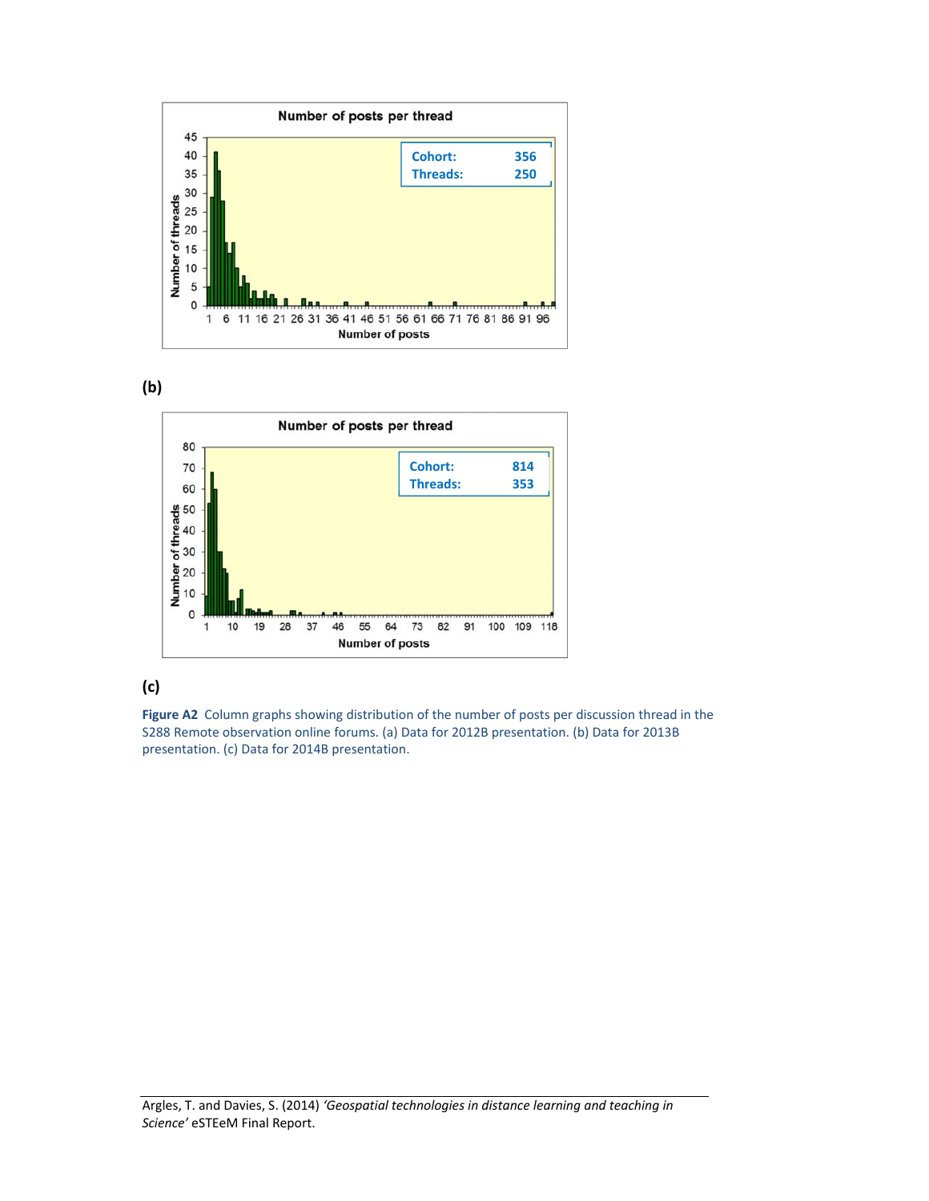





## **(c)**

Figure A2 Column graphs showing distribution of the number of posts per discussion thread in the S288 Remote observation online forums. (a) Data for 2012B presentation. (b) Data for 2013B presentation. (c) Data for 2014B presentation.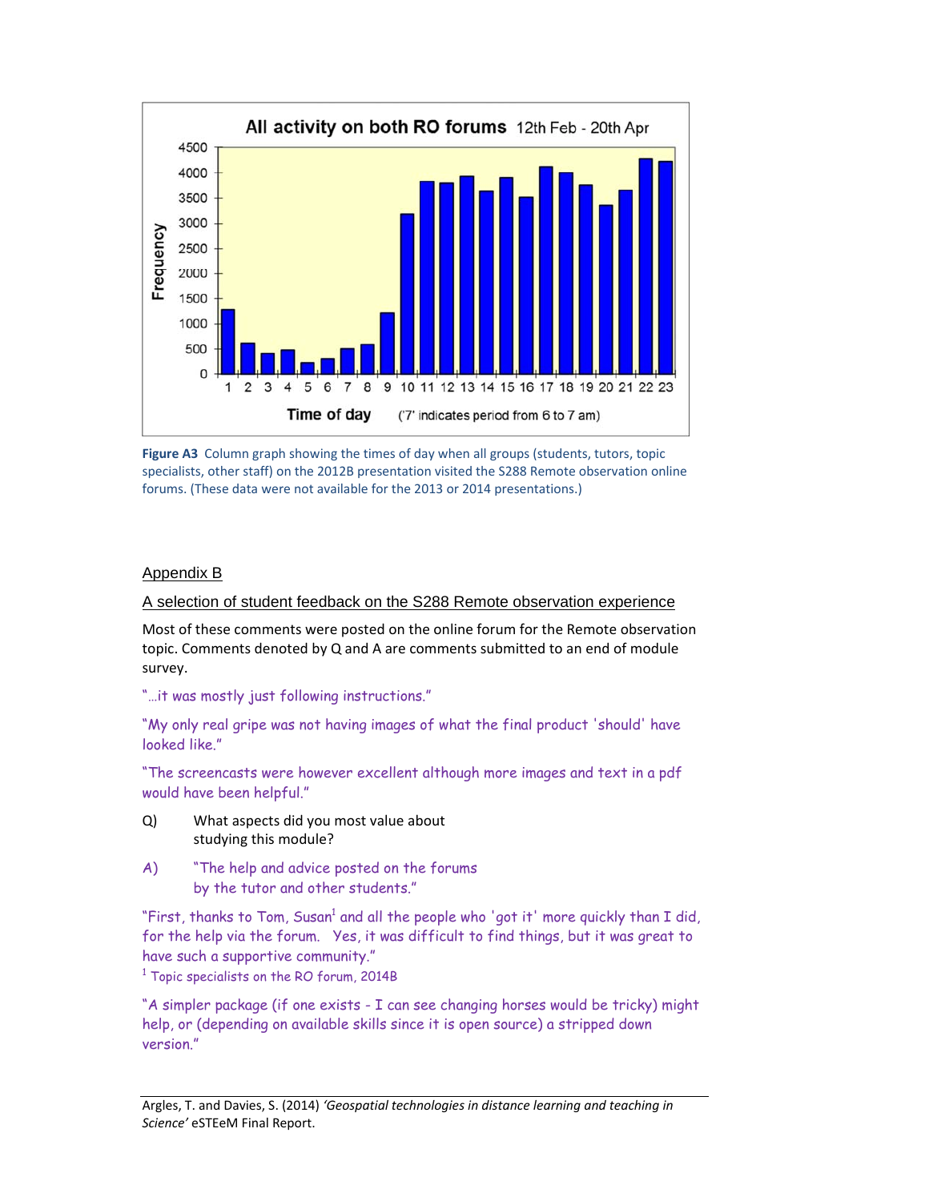

Figure A3 Column graph showing the times of day when all groups (students, tutors, topic specialists, other staff) on the 2012B presentation visited the S288 Remote observation online forums. (These data were not available for the 2013 or 2014 presentations.)

#### Appendix B

A selection of student feedback on the S288 Remote observation experience

Most of these comments were posted on the online forum for the Remote observation topic. Comments denoted by Q and A are comments submitted to an end of module survey.

"…it was mostly just following instructions."

"My only real gripe was not having images of what the final product 'should' have looked like."

"The screencasts were however excellent although more images and text in a pdf would have been helpful."

- Q) What aspects did you most value about studying this module?
- A) "The help and advice posted on the forums by the tutor and other students."

"First, thanks to Tom, Susan<sup>1</sup> and all the people who 'got it' more quickly than I did, for the help via the forum. Yes, it was difficult to find things, but it was great to have such a supportive community."

 $^{\rm 1}$  Topic specialists on the RO forum, 2014B

"A simpler package (if one exists - I can see changing horses would be tricky) might help, or (depending on available skills since it is open source) a stripped down version."